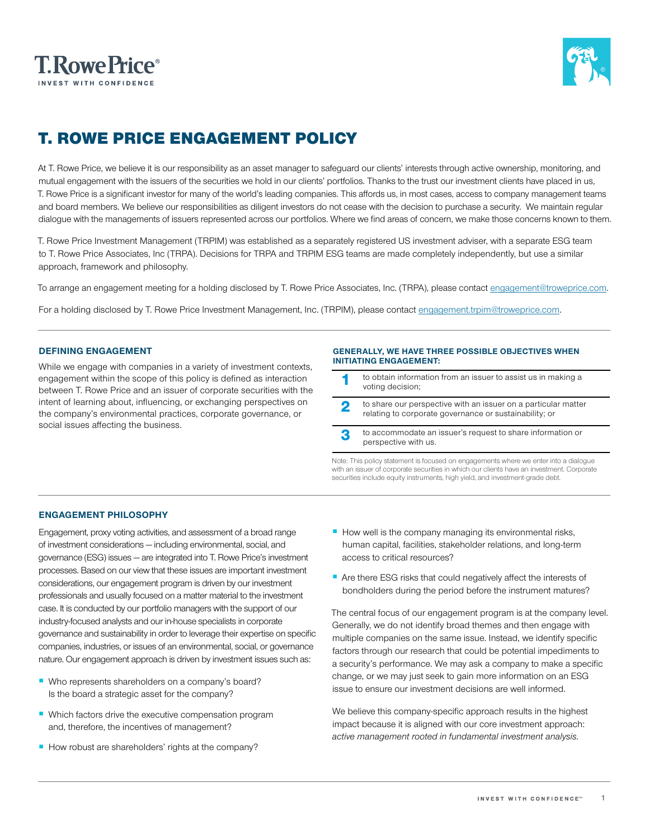



# T. ROWE PRICE ENGAGEMENT POLICY

At T. Rowe Price, we believe it is our responsibility as an asset manager to safeguard our clients' interests through active ownership, monitoring, and mutual engagement with the issuers of the securities we hold in our clients' portfolios. Thanks to the trust our investment clients have placed in us, T. Rowe Price is a significant investor for many of the world's leading companies. This affords us, in most cases, access to company management teams and board members. We believe our responsibilities as diligent investors do not cease with the decision to purchase a security. We maintain regular dialogue with the managements of issuers represented across our portfolios. Where we find areas of concern, we make those concerns known to them.<br>

T. Rowe Price Investment Management (TRPIM) was established as a separately registered US investment adviser, with a separate ESG team to T. Rowe Price Associates, Inc (TRPA). Decisions for TRPA and TRPIM ESG teams are made completely independently, but use a similar approach, framework and philosophy.

To arrange an engagement meeting for a holding disclosed by T. Rowe Price Associates, Inc. (TRPA), please contact [engagement@troweprice.com](mailto:Engagement%40troweprice.com?subject=).

For a holding disclosed by T. Rowe Price Investment Management, Inc. (TRPIM), please contact e[ngagement.trpim@troweprice.com](mailto:Engagement.trpim%40troweprice.com?subject=).

# **DEFINING ENGAGEMENT**

While we engage with companies in a variety of investment contexts, engagement within the scope of this policy is defined as interaction between T. Rowe Price and an issuer of corporate securities with the intent of learning about, influencing, or exchanging perspectives on the company's environmental practices, corporate governance, or social issues affecting the business.

#### **GENERALLY, WE HAVE THREE POSSIBLE OBJECTIVES WHEN INITIATING ENGAGEMENT:**

- to obtain information from an issuer to assist us in making a voting decision;
- 2 to share our perspective with an issuer on a particular matter relating to corporate governance or sustainability; or
- 3 to accommodate an issuer's request to share information or perspective with us.

Note: This policy statement is focused on engagements where we enter into a dialogue with an issuer of corporate securities in which our clients have an investment. Corporate securities include equity instruments, high yield, and investment-grade debt.

# **ENGAGEMENT PHILOSOPHY**

Engagement, proxy voting activities, and assessment of a broad range of investment considerations — including environmental, social, and governance (ESG) issues — are integrated into T. Rowe Price's investment processes. Based on our view that these issues are important investment considerations, our engagement program is driven by our investment professionals and usually focused on a matter material to the investment case. It is conducted by our portfolio managers with the support of our industry-focused analysts and our in-house specialists in corporate governance and sustainability in order to leverage their expertise on specific companies, industries, or issues of an environmental, social, or governance nature. Our engagement approach is driven by investment issues such as:

- Who represents shareholders on a company's board? Is the board a strategic asset for the company?
- Which factors drive the executive compensation program and, therefore, the incentives of management?
- How robust are shareholders' rights at the company?
- How well is the company managing its environmental risks, human capital, facilities, stakeholder relations, and long-term access to critical resources?
- Are there ESG risks that could negatively affect the interests of bondholders during the period before the instrument matures?

The central focus of our engagement program is at the company level. Generally, we do not identify broad themes and then engage with multiple companies on the same issue. Instead, we identify specific factors through our research that could be potential impediments to a security's performance. We may ask a company to make a specific change, or we may just seek to gain more information on an ESG issue to ensure our investment decisions are well informed.

We believe this company-specific approach results in the highest impact because it is aligned with our core investment approach: *active management rooted in fundamental investment analysis.*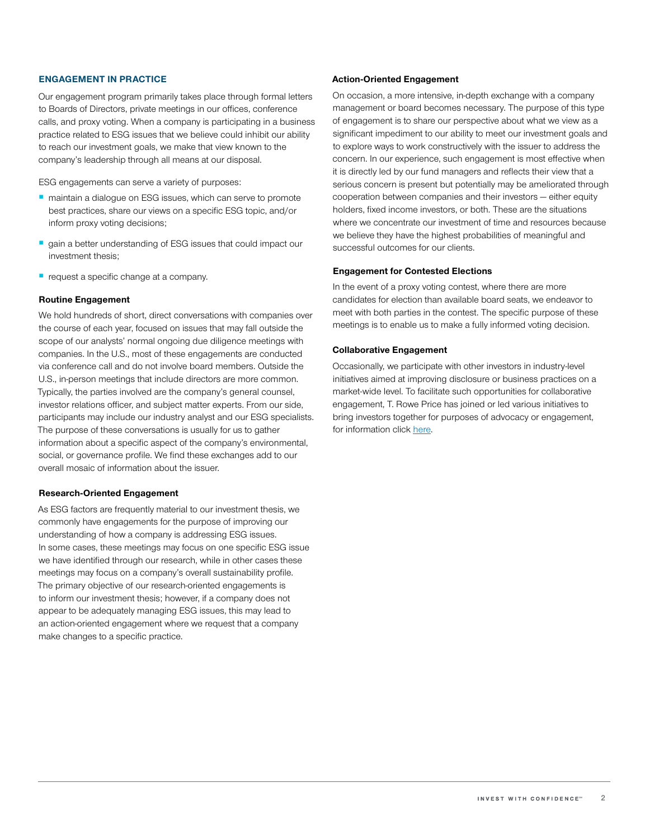## **ENGAGEMENT IN PRACTICE**

Our engagement program primarily takes place through formal letters to Boards of Directors, private meetings in our offices, conference calls, and proxy voting. When a company is participating in a business practice related to ESG issues that we believe could inhibit our ability to reach our investment goals, we make that view known to the company's leadership through all means at our disposal.

ESG engagements can serve a variety of purposes:

- maintain a dialogue on ESG issues, which can serve to promote best practices, share our views on a specific ESG topic, and/or inform proxy voting decisions;
- gain a better understanding of ESG issues that could impact our investment thesis;
- request a specific change at a company.

## **Routine Engagement**

We hold hundreds of short, direct conversations with companies over the course of each year, focused on issues that may fall outside the scope of our analysts' normal ongoing due diligence meetings with companies. In the U.S., most of these engagements are conducted via conference call and do not involve board members. Outside the U.S., in-person meetings that include directors are more common. Typically, the parties involved are the company's general counsel, investor relations officer, and subject matter experts. From our side, participants may include our industry analyst and our ESG specialists. The purpose of these conversations is usually for us to gather information about a specific aspect of the company's environmental, social, or governance profile. We find these exchanges add to our overall mosaic of information about the issuer.

#### **Research-Oriented Engagement**

As ESG factors are frequently material to our investment thesis, we commonly have engagements for the purpose of improving our understanding of how a company is addressing ESG issues. In some cases, these meetings may focus on one specific ESG issue we have identified through our research, while in other cases these meetings may focus on a company's overall sustainability profile. The primary objective of our research-oriented engagements is to inform our investment thesis; however, if a company does not appear to be adequately managing ESG issues, this may lead to an action-oriented engagement where we request that a company make changes to a specific practice.

#### **Action-Oriented Engagement**

On occasion, a more intensive, in-depth exchange with a company management or board becomes necessary. The purpose of this type of engagement is to share our perspective about what we view as a significant impediment to our ability to meet our investment goals and to explore ways to work constructively with the issuer to address the concern. In our experience, such engagement is most effective when it is directly led by our fund managers and reflects their view that a serious concern is present but potentially may be ameliorated through cooperation between companies and their investors — either equity holders, fixed income investors, or both. These are the situations where we concentrate our investment of time and resources because we believe they have the highest probabilities of meaningful and successful outcomes for our clients.

#### **Engagement for Contested Elections**

In the event of a proxy voting contest, where there are more candidates for election than available board seats, we endeavor to meet with both parties in the contest. The specific purpose of these meetings is to enable us to make a fully informed voting decision.

## **Collaborative Engagement**

Occasionally, we participate with other investors in industry-level initiatives aimed at improving disclosure or business practices on a market-wide level. To facilitate such opportunities for collaborative engagement, T. Rowe Price has joined or led various initiatives to bring investors together for purposes of advocacy or engagement, for information click [here.](https://www.troweprice.com/content/dam/trowecorp/Pdfs/58398_TRP_ESG_Policy%20FINAL.pdf)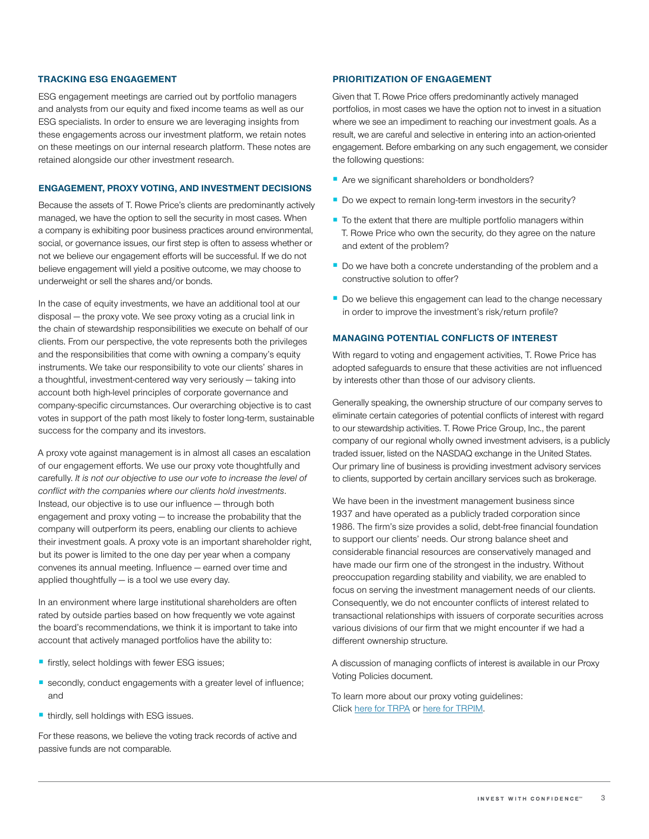## **TRACKING ESG ENGAGEMENT**

ESG engagement meetings are carried out by portfolio managers and analysts from our equity and fixed income teams as well as our ESG specialists. In order to ensure we are leveraging insights from these engagements across our investment platform, we retain notes on these meetings on our internal research platform. These notes are retained alongside our other investment research.

#### **ENGAGEMENT, PROXY VOTING, AND INVESTMENT DECISIONS**

Because the assets of T. Rowe Price's clients are predominantly actively managed, we have the option to sell the security in most cases. When a company is exhibiting poor business practices around environmental, social, or governance issues, our first step is often to assess whether or not we believe our engagement efforts will be successful. If we do not believe engagement will yield a positive outcome, we may choose to underweight or sell the shares and/or bonds.

In the case of equity investments, we have an additional tool at our disposal — the proxy vote. We see proxy voting as a crucial link in the chain of stewardship responsibilities we execute on behalf of our clients. From our perspective, the vote represents both the privileges and the responsibilities that come with owning a company's equity instruments. We take our responsibility to vote our clients' shares in a thoughtful, investment-centered way very seriously — taking into account both high-level principles of corporate governance and company-specific circumstances. Our overarching objective is to cast votes in support of the path most likely to foster long-term, sustainable success for the company and its investors.

A proxy vote against management is in almost all cases an escalation of our engagement efforts. We use our proxy vote thoughtfully and carefully. *It is not our objective to use our vote to increase the level of conflict with the companies where our clients hold investments*. Instead, our objective is to use our influence — through both engagement and proxy voting — to increase the probability that the company will outperform its peers, enabling our clients to achieve their investment goals. A proxy vote is an important shareholder right, but its power is limited to the one day per year when a company convenes its annual meeting. Influence — earned over time and applied thoughtfully — is a tool we use every day.

In an environment where large institutional shareholders are often rated by outside parties based on how frequently we vote against the board's recommendations, we think it is important to take into account that actively managed portfolios have the ability to:

- firstly, select holdings with fewer ESG issues;
- secondly, conduct engagements with a greater level of influence; and
- thirdly, sell holdings with ESG issues.

For these reasons, we believe the voting track records of active and passive funds are not comparable.

## **PRIORITIZATION OF ENGAGEMENT**

Given that T. Rowe Price offers predominantly actively managed portfolios, in most cases we have the option not to invest in a situation where we see an impediment to reaching our investment goals. As a result, we are careful and selective in entering into an action-oriented engagement. Before embarking on any such engagement, we consider the following questions:

- Are we significant shareholders or bondholders?
- Do we expect to remain long-term investors in the security?
- To the extent that there are multiple portfolio managers within T. Rowe Price who own the security, do they agree on the nature and extent of the problem?
- Do we have both a concrete understanding of the problem and a constructive solution to offer?
- Do we believe this engagement can lead to the change necessary in order to improve the investment's risk/return profile?

# **MANAGING POTENTIAL CONFLICTS OF INTEREST**

With regard to voting and engagement activities, T. Rowe Price has adopted safeguards to ensure that these activities are not influenced by interests other than those of our advisory clients.

Generally speaking, the ownership structure of our company serves to eliminate certain categories of potential conflicts of interest with regard to our stewardship activities. T. Rowe Price Group, Inc., the parent company of our regional wholly owned investment advisers, is a publicly traded issuer, listed on the NASDAQ exchange in the United States. Our primary line of business is providing investment advisory services to clients, supported by certain ancillary services such as brokerage.

We have been in the investment management business since 1937 and have operated as a publicly traded corporation since 1986. The firm's size provides a solid, debt-free financial foundation to support our clients' needs. Our strong balance sheet and considerable financial resources are conservatively managed and have made our firm one of the strongest in the industry. Without preoccupation regarding stability and viability, we are enabled to focus on serving the investment management needs of our clients. Consequently, we do not encounter conflicts of interest related to transactional relationships with issuers of corporate securities across various divisions of our firm that we might encounter if we had a different ownership structure.

A discussion of managing conflicts of interest is available in our Proxy Voting Policies document.

To learn more about our proxy voting guidelines: Click [here for TRPA](https://www.troweprice.com/content/dam/trowecorp/Pdfs/proxy-voting-guidelines-TRPA.pdf) or [here for TRPIM.](https://www.troweprice.com/content/dam/trowecorp/Pdfs/proxy-voting-guidelines-TRPIM.pdf)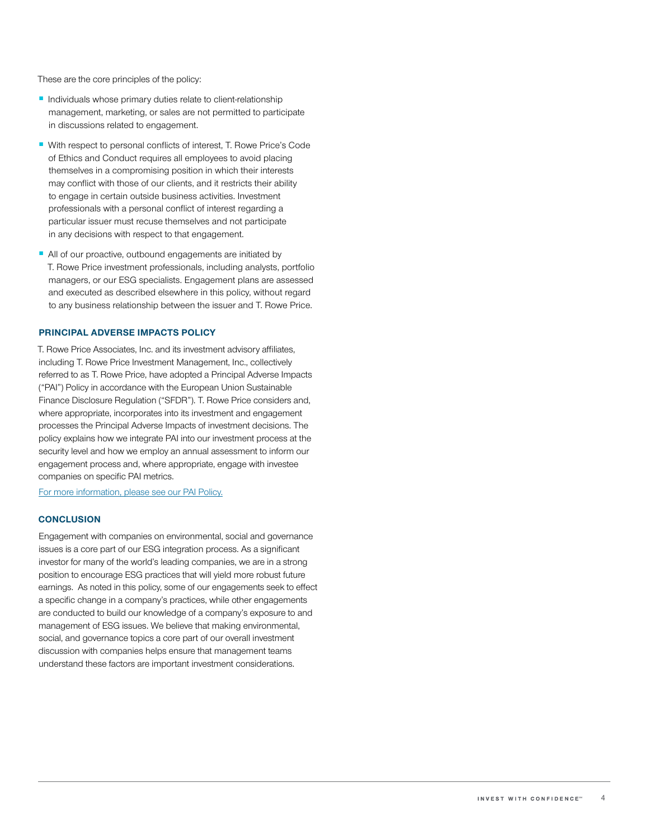These are the core principles of the policy:

- Individuals whose primary duties relate to client-relationship management, marketing, or sales are not permitted to participate in discussions related to engagement.
- With respect to personal conflicts of interest, T. Rowe Price's Code of Ethics and Conduct requires all employees to avoid placing themselves in a compromising position in which their interests may conflict with those of our clients, and it restricts their ability to engage in certain outside business activities. Investment professionals with a personal conflict of interest regarding a particular issuer must recuse themselves and not participate in any decisions with respect to that engagement.
- All of our proactive, outbound engagements are initiated by T. Rowe Price investment professionals, including analysts, portfolio managers, or our ESG specialists. Engagement plans are assessed and executed as described elsewhere in this policy, without regard to any business relationship between the issuer and T. Rowe Price.

## **PRINCIPAL ADVERSE IMPACTS POLICY**

T. Rowe Price Associates, Inc. and its investment advisory affiliates, including T. Rowe Price Investment Management, Inc., collectively referred to as T. Rowe Price, have adopted a Principal Adverse Impacts ("PAI") Policy in accordance with the European Union Sustainable Finance Disclosure Regulation ("SFDR"). T. Rowe Price considers and, where appropriate, incorporates into its investment and engagement processes the Principal Adverse Impacts of investment decisions. The policy explains how we integrate PAI into our investment process at the security level and how we employ an annual assessment to inform our engagement process and, where appropriate, engage with investee companies on specific PAI metrics.

[For more information, please see our PAI Policy.](https://www.troweprice.com/content/dam/trowecorp/Pdfs/CCON0073183%20PAI%20POLICY%20UPDATES.Flyer%200121%20P1.pdf)

## **CONCLUSION**

Engagement with companies on environmental, social and governance issues is a core part of our ESG integration process. As a significant investor for many of the world's leading companies, we are in a strong position to encourage ESG practices that will yield more robust future earnings. As noted in this policy, some of our engagements seek to effect a specific change in a company's practices, while other engagements are conducted to build our knowledge of a company's exposure to and management of ESG issues. We believe that making environmental, social, and governance topics a core part of our overall investment discussion with companies helps ensure that management teams understand these factors are important investment considerations.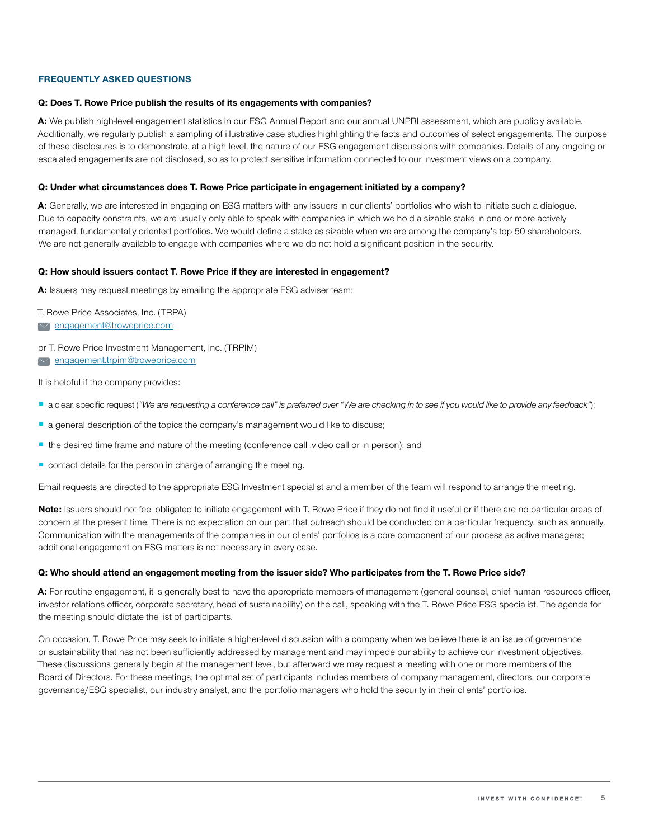## **FREQUENTLY ASKED QUESTIONS**

## **Q: Does T. Rowe Price publish the results of its engagements with companies?**

A: We publish high-level engagement statistics in our ESG Annual Report and our annual UNPRI assessment, which are publicly available. Additionally, we regularly publish a sampling of illustrative case studies highlighting the facts and outcomes of select engagements. The purpose of these disclosures is to demonstrate, at a high level, the nature of our ESG engagement discussions with companies. Details of any ongoing or escalated engagements are not disclosed, so as to protect sensitive information connected to our investment views on a company.

#### **Q: Under what circumstances does T. Rowe Price participate in engagement initiated by a company?**

**A:** Generally, we are interested in engaging on ESG matters with any issuers in our clients' portfolios who wish to initiate such a dialogue. Due to capacity constraints, we are usually only able to speak with companies in which we hold a sizable stake in one or more actively managed, fundamentally oriented portfolios. We would define a stake as sizable when we are among the company's top 50 shareholders. We are not generally available to engage with companies where we do not hold a significant position in the security.

#### **Q: How should issuers contact T. Rowe Price if they are interested in engagement?**

**A:** Issuers may request meetings by emailing the appropriate ESG adviser team:

- T. Rowe Price Associates, Inc. (TRPA)
- [engagement@troweprice.com](mailto:engagement%40troweprice.com?subject=)
- or T. Rowe Price Investment Management, Inc. (TRPIM)
- [engagement.trpim@troweprice.com](mailto:engagement.trpim%40troweprice.com?subject=)

It is helpful if the company provides:

- a clear, specific request (*"We are requesting a conference call" is preferred over "We are checking in to see if you would like to provide any feedback"*);
- a general description of the topics the company's management would like to discuss;
- the desired time frame and nature of the meeting (conference call ,video call or in person); and
- contact details for the person in charge of arranging the meeting.

Email requests are directed to the appropriate ESG Investment specialist and a member of the team will respond to arrange the meeting.

**Note:** Issuers should not feel obligated to initiate engagement with T. Rowe Price if they do not find it useful or if there are no particular areas of concern at the present time. There is no expectation on our part that outreach should be conducted on a particular frequency, such as annually. Communication with the managements of the companies in our clients' portfolios is a core component of our process as active managers; additional engagement on ESG matters is not necessary in every case.

## **Q: Who should attend an engagement meeting from the issuer side? Who participates from the T. Rowe Price side?**

A: For routine engagement, it is generally best to have the appropriate members of management (general counsel, chief human resources officer, investor relations officer, corporate secretary, head of sustainability) on the call, speaking with the T. Rowe Price ESG specialist. The agenda for the meeting should dictate the list of participants.

On occasion, T. Rowe Price may seek to initiate a higher-level discussion with a company when we believe there is an issue of governance or sustainability that has not been sufficiently addressed by management and may impede our ability to achieve our investment objectives. These discussions generally begin at the management level, but afterward we may request a meeting with one or more members of the Board of Directors. For these meetings, the optimal set of participants includes members of company management, directors, our corporate governance/ESG specialist, our industry analyst, and the portfolio managers who hold the security in their clients' portfolios.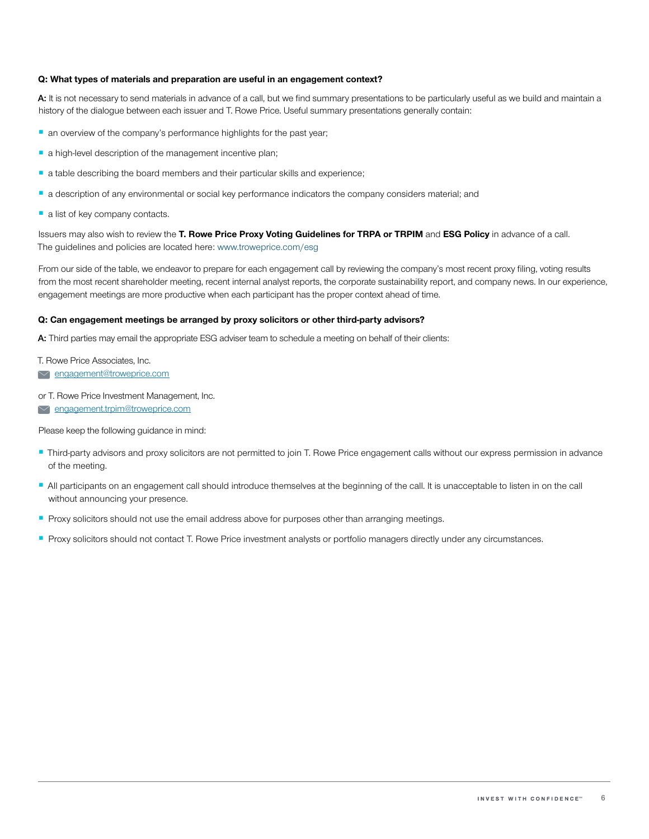## **Q: What types of materials and preparation are useful in an engagement context?**

A: It is not necessary to send materials in advance of a call, but we find summary presentations to be particularly useful as we build and maintain a history of the dialogue between each issuer and T. Rowe Price. Useful summary presentations generally contain:

- an overview of the company's performance highlights for the past year;
- a high-level description of the management incentive plan;
- a table describing the board members and their particular skills and experience;
- a description of any environmental or social key performance indicators the company considers material; and
- a list of key company contacts.

Issuers may also wish to review the **T. Rowe Price Proxy Voting Guidelines for TRPA or TRPIM** and **ESG Policy** in advance of a call. The guidelines and policies are located here: [www.troweprice.com/esg](http://www.troweprice.com/esg) 

From our side of the table, we endeavor to prepare for each engagement call by reviewing the company's most recent proxy filing, voting results from the most recent shareholder meeting, recent internal analyst reports, the corporate sustainability report, and company news. In our experience, engagement meetings are more productive when each participant has the proper context ahead of time.

## **Q: Can engagement meetings be arranged by proxy solicitors or other third-party advisors?**

**A:** Third parties may email the appropriate ESG adviser team to schedule a meeting on behalf of their clients:<br>

T. Rowe Price Associates, Inc.

[engagement@troweprice.com](mailto:engagement%40troweprice.com?subject=)

or T. Rowe Price Investment Management, Inc.

**Engagement.trpim@troweprice.com** 

Please keep the following guidance in mind:

- Third-party advisors and proxy solicitors are not permitted to join T. Rowe Price engagement calls without our express permission in advance of the meeting.
- All participants on an engagement call should introduce themselves at the beginning of the call. It is unacceptable to listen in on the call without announcing your presence.
- Proxy solicitors should not use the email address above for purposes other than arranging meetings.
- Proxy solicitors should not contact T. Rowe Price investment analysts or portfolio managers directly under any circumstances.